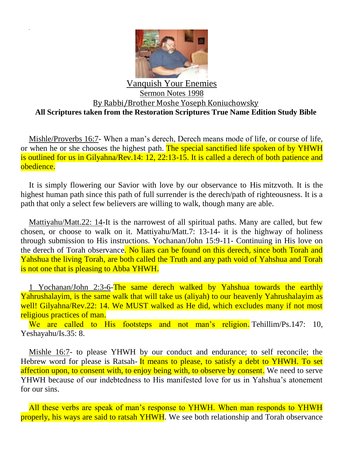

## Vanquish Your Enemies Sermon Notes 1998 By Rabbi/Brother Moshe Yoseph Koniuchowsky **All Scriptures taken from the Restoration Scriptures True Name Edition Study Bible**

Mishle/Proverbs 16:7- When a man's derech, Derech means mode of life, or course of life, or when he or she chooses the highest path. The special sanctified life spoken of by YHWH is outlined for us in Gilyahna/Rev.14: 12, 22:13-15. It is called a derech of both patience and obedience.

It is simply flowering our Savior with love by our observance to His mitzvoth. It is the highest human path since this path of full surrender is the derech/path of righteousness. It is a path that only a select few believers are willing to walk, though many are able.

Mattiyahu/Matt.22: 14-It is the narrowest of all spiritual paths. Many are called, but few chosen, or choose to walk on it. Mattiyahu/Matt.7: 13-14- it is the highway of holiness through submission to His instructions. Yochanan/John 15:9-11- Continuing in His love on the derech of Torah observance. No liars can be found on this derech, since both Torah and Yahshua the living Torah, are both called the Truth and any path void of Yahshua and Torah is not one that is pleasing to Abba YHWH.

1 Yochanan/John 2:3-6-The same derech walked by Yahshua towards the earthly Yahrushalayim, is the same walk that will take us (aliyah) to our heavenly Yahrushalayim as well! Gilyahna/Rev.22: 14. We MUST walked as He did, which excludes many if not most religious practices of man.

We are called to His footsteps and not man's religion. Tehillim/Ps.147: 10, Yeshayahu/Is.35: 8.

Mishle 16:7- to please YHWH by our conduct and endurance; to self reconcile; the Hebrew word for please is Ratsah- It means to please, to satisfy a debt to YHWH. To set affection upon, to consent with, to enjoy being with, to observe by consent. We need to serve YHWH because of our indebtedness to His manifested love for us in Yahshua's atonement for our sins.

All these verbs are speak of man's response to YHWH. When man responds to YHWH properly, his ways are said to ratsah YHWH. We see both relationship and Torah observance